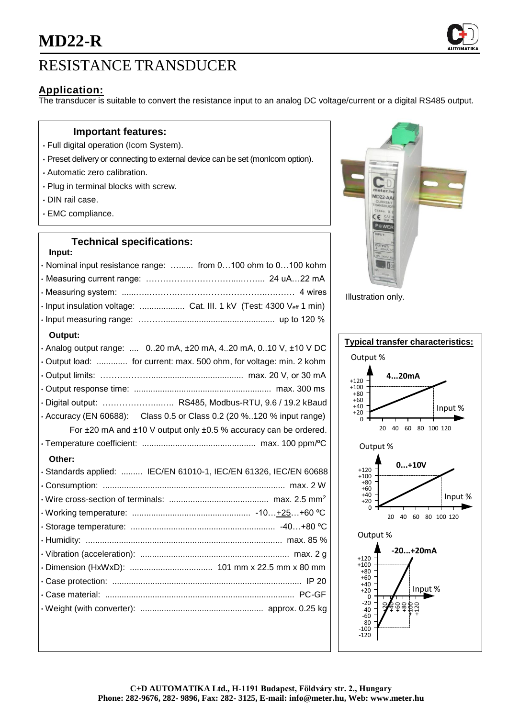

# RESISTANCE TRANSDUCER

## **Application:**

The transducer is suitable to convert the resistance input to an analog DC voltage/current or a digital RS485 output.

### **Important features:**

- Full digital operation (Icom System).
- Preset delivery or connecting to external device can be set (monIcom option).
- Automatic zero calibration.
- Plug in terminal blocks with screw.
- DIN rail case.
- EMC compliance.

#### **Technical specifications: Input:**

| - Input:                                                                  |
|---------------------------------------------------------------------------|
| $\cdot$ Nominal input resistance range:  from 0100 ohm to 0100 kohm       |
|                                                                           |
|                                                                           |
| $\cdot$ Input insulation voltage:  Cat. III. 1 kV (Test: 4300 Veff 1 min) |
|                                                                           |
| $\sim$ $\sim$ $\sim$ $\sim$ $\sim$ $\sim$                                 |

#### **Output:**

| Output.                                                                         |
|---------------------------------------------------------------------------------|
| $\cdot$ Analog output range:  020 mA, $\pm$ 20 mA, 420 mA, 010 V, $\pm$ 10 V DC |
| . Output load:  for current: max. 500 ohm, for voltage: min. 2 kohm             |
|                                                                                 |
|                                                                                 |
| · Digital output:  RS485, Modbus-RTU, 9.6 / 19.2 kBaud                          |
| • Accuracy (EN 60688): Class 0.5 or Class 0.2 (20 %120 % input range)           |
| For ±20 mA and ±10 V output only ±0.5 % accuracy can be ordered.                |
|                                                                                 |
| Other:                                                                          |
| · Standards applied:  IEC/EN 61010-1, IEC/EN 61326, IEC/EN 60688                |
|                                                                                 |
|                                                                                 |
|                                                                                 |
|                                                                                 |
|                                                                                 |
|                                                                                 |
|                                                                                 |
|                                                                                 |
|                                                                                 |
|                                                                                 |
|                                                                                 |



Illustration only.